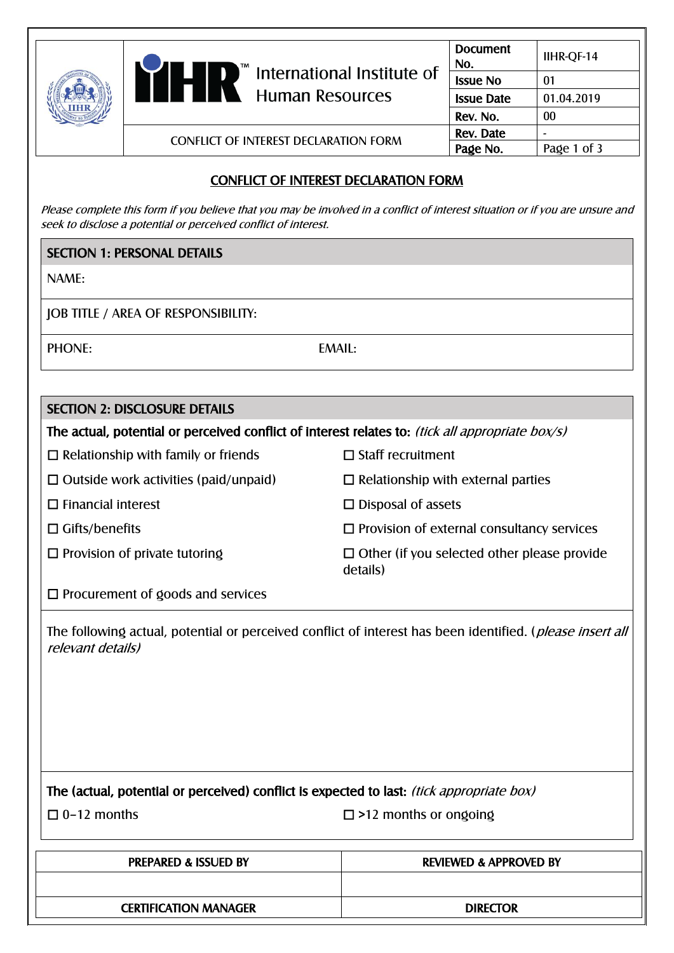|  | $\blacktriangleright$ International Institute of<br><b>Human Resources</b> | <b>Document</b><br>No. | IIHR-QF-14  |
|--|----------------------------------------------------------------------------|------------------------|-------------|
|  |                                                                            | <b>Issue No</b>        | 01          |
|  |                                                                            | <b>Issue Date</b>      | 01.04.2019  |
|  |                                                                            | Rev. No.               | $00\,$      |
|  | <b>CONFLICT OF INTEREST DECLARATION FORM</b>                               | Rev. Date              |             |
|  |                                                                            | Page No.               | Page 1 of 3 |

# CONFLICT OF INTEREST DECLARATION FORM

Please complete this form if you believe that you may be involved in a conflict of interest situation or if you are unsure and seek to disclose a potential or perceived conflict of interest.

### SECTION 1: PERSONAL DETAILS

NAME:

JOB TITLE / AREA OF RESPONSIBILITY:

PHONE: EMAIL:

| <b>SECTION 2: DISCLOSURE DETAILS</b>                                                             |                                                                |  |  |  |
|--------------------------------------------------------------------------------------------------|----------------------------------------------------------------|--|--|--|
| The actual, potential or perceived conflict of interest relates to: (tick all appropriate box/s) |                                                                |  |  |  |
| $\Box$ Staff recruitment<br>$\Box$ Relationship with family or friends                           |                                                                |  |  |  |
| $\Box$ Outside work activities (paid/unpaid)                                                     | $\Box$ Relationship with external parties                      |  |  |  |
| $\Box$ Financial interest                                                                        | $\Box$ Disposal of assets                                      |  |  |  |
| $\Box$ Gifts/benefits                                                                            | $\square$ Provision of external consultancy services           |  |  |  |
| $\Box$ Provision of private tutoring                                                             | $\Box$ Other (if you selected other please provide<br>details) |  |  |  |
| $\Box$ Procurement of goods and services                                                         |                                                                |  |  |  |
| <i>relevant details)</i>                                                                         |                                                                |  |  |  |
| The (actual, potential or perceived) conflict is expected to last: <i>(tick appropriate box)</i> |                                                                |  |  |  |
| $\Box$ 0-12 months                                                                               | $\Box$ >12 months or ongoing                                   |  |  |  |
| <b>PREPARED &amp; ISSUED BY</b>                                                                  | <b>REVIEWED &amp; APPROVED BY</b>                              |  |  |  |
|                                                                                                  |                                                                |  |  |  |

| <b>CERTIFICATION MANAGER</b> | <b>DIRECTOR</b> |
|------------------------------|-----------------|
|                              |                 |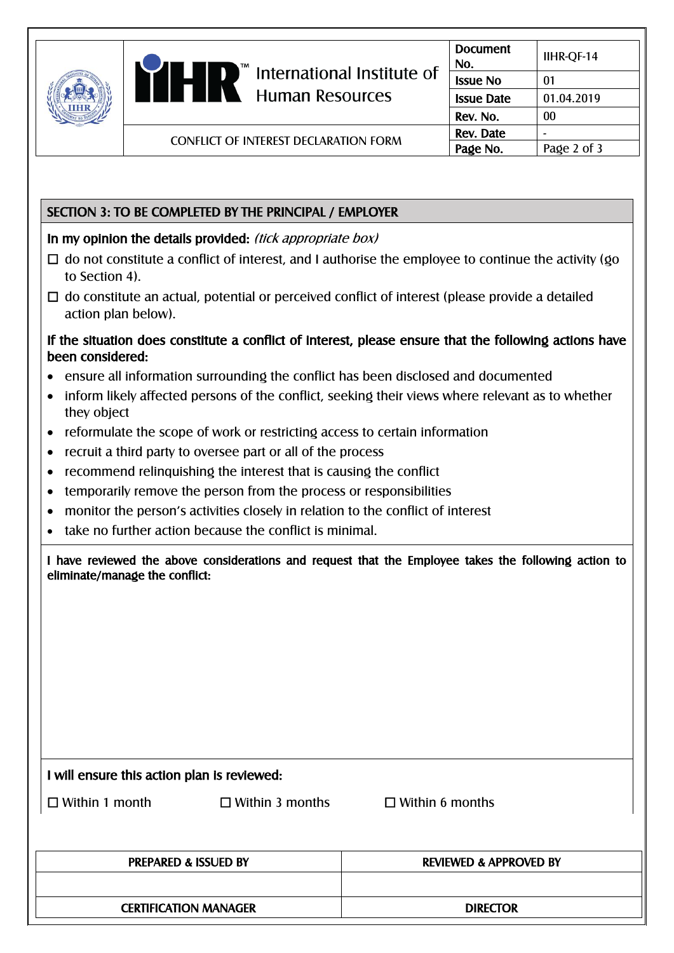|  | $\mathsf{I}$ " International Institute of<br><b>Human Resources</b> | <b>Document</b><br>No. | IIHR-QF-14  |
|--|---------------------------------------------------------------------|------------------------|-------------|
|  |                                                                     | <b>Issue No</b>        | 01          |
|  |                                                                     | <b>Issue Date</b>      | 01.04.2019  |
|  |                                                                     | Rev. No.               | 00          |
|  | <b>CONFLICT OF INTEREST DECLARATION FORM</b>                        | Rev. Date              |             |
|  |                                                                     | Page No.               | Page 2 of 3 |

## SECTION 3: TO BE COMPLETED BY THE PRINCIPAL / EMPLOYER

### In my opinion the details provided: *(tick appropriate box)*

- $\Box$  do not constitute a conflict of interest, and I authorise the employee to continue the activity (go to Section 4).
- $\Box$  do constitute an actual, potential or perceived conflict of interest (please provide a detailed action plan below).

### If the situation does constitute a conflict of interest, please ensure that the following actions have been considered:

- ensure all information surrounding the conflict has been disclosed and documented
- inform likely affected persons of the conflict, seeking their views where relevant as to whether they object
- reformulate the scope of work or restricting access to certain information
- recruit a third party to oversee part or all of the process
- recommend relinquishing the interest that is causing the conflict
- temporarily remove the person from the process or responsibilities
- monitor the person's activities closely in relation to the conflict of interest
- take no further action because the conflict is minimal.

I have reviewed the above considerations and request that the Employee takes the following action to eliminate/manage the conflict:

#### I will ensure this action plan is reviewed:

☐ Within 1 month ☐ Within 3 months ☐ Within 6 months

| <b>PREPARED &amp; ISSUED BY</b> | <b>REVIEWED &amp; APPROVED BY</b> |
|---------------------------------|-----------------------------------|
|                                 |                                   |
| <b>CERTIFICATION MANAGER</b>    | <b>DIRECTOR</b>                   |